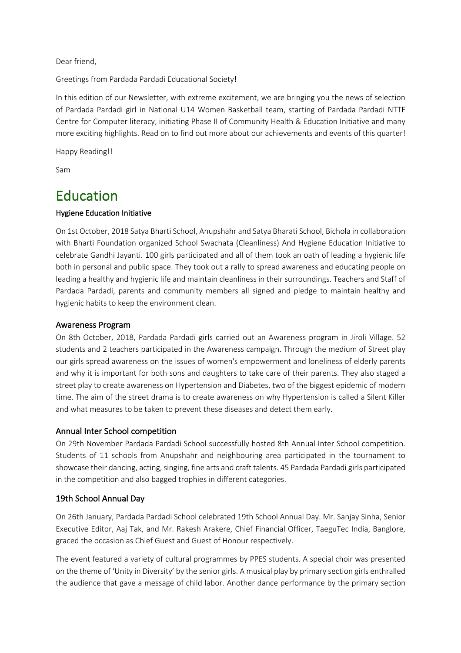Dear friend,

Greetings from Pardada Pardadi Educational Society!

In this edition of our Newsletter, with extreme excitement, we are bringing you the news of selection of Pardada Pardadi girl in National U14 Women Basketball team, starting of Pardada Pardadi NTTF Centre for Computer literacy, initiating Phase II of Community Health & Education Initiative and many more exciting highlights. Read on to find out more about our achievements and events of this quarter!

Happy Reading!!

Sam

# Education<br>
Hygiene Education Initiative

On 1st October, 2018 Satya Bharti School, Anupshahr and Satya Bharati School, Bichola in collaboration with Bharti Foundation organized School Swachata (Cleanliness) And Hygiene Education Initiative to celebrate Gandhi Jayanti. 100 girls participated and all of them took an oath of leading a hygienic life both in personal and public space. They took out a rally to spread awareness and educating people on leading a healthy and hygienic life and maintain cleanliness in their surroundings. Teachers and Staff of Pardada Pardadi, parents and community members all signed and pledge to maintain healthy and hygienic habits to keep the environment clean.

#### Awareness Program

On 8th October, 2018, Pardada Pardadi girls carried out an Awareness program in Jiroli Village. 52 students and 2 teachers participated in the Awareness campaign. Through the medium of Street play our girls spread awareness on the issues of women's empowerment and loneliness of elderly parents and why it is important for both sons and daughters to take care of their parents. They also staged a street play to create awareness on Hypertension and Diabetes, two of the biggest epidemic of modern time. The aim of the street drama is to create awareness on why Hypertension is called a Silent Killer and what measures to be taken to prevent these diseases and detect them early.

#### Annual Inter School competition

On 29th November Pardada Pardadi School successfully hosted 8th Annual Inter School competition. Students of 11 schools from Anupshahr and neighbouring area participated in the tournament to showcase their dancing, acting, singing, fine arts and craft talents. 45 Pardada Pardadi girls participated in the competition and also bagged trophies in different categories.

#### 19th School Annual Day

On 26th January, Pardada Pardadi School celebrated 19th School Annual Day. Mr. Sanjay Sinha, Senior Executive Editor, Aaj Tak, and Mr. Rakesh Arakere, Chief Financial Officer, TaeguTec India, Banglore, graced the occasion as Chief Guest and Guest of Honour respectively.

The event featured a variety of cultural programmes by PPES students. A special choir was presented on the theme of 'Unity in Diversity' by the senior girls. A musical play by primary section girls enthralled the audience that gave a message of child labor. Another dance performance by the primary section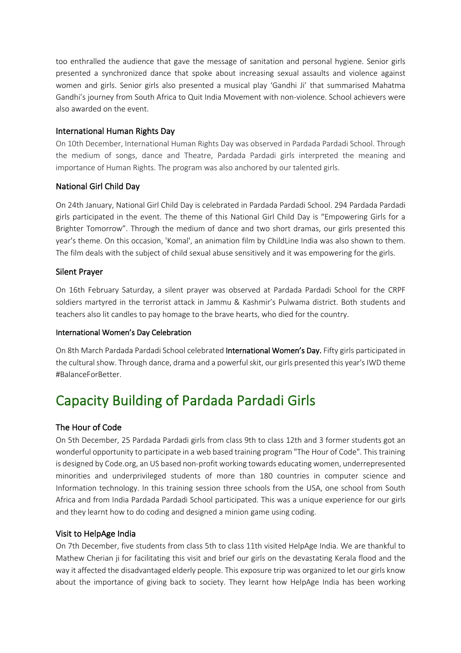too enthralled the audience that gave the message of sanitation and personal hygiene. Senior girls presented a synchronized dance that spoke about increasing sexual assaults and violence against women and girls. Senior girls also presented a musical play 'Gandhi Ji' that summarised Mahatma Gandhi's journey from South Africa to Quit India Movement with non-violence. School achievers were also awarded on the event.

#### International Human Rights Day

On 10th December, International Human Rights Day was observed in Pardada Pardadi School. Through the medium of songs, dance and Theatre, Pardada Pardadi girls interpreted the meaning and importance of Human Rights. The program was also anchored by our talented girls.

### National Girl Child Day

On 24th January, National Girl Child Day is celebrated in Pardada Pardadi School. 294 Pardada Pardadi girls participated in the event. The theme of this National Girl Child Day is "Empowering Girls for a Brighter Tomorrow". Through the medium of dance and two short dramas, our girls presented this year's theme. On this occasion, 'Komal', an animation film by ChildLine India was also shown to them. The film deals with the subject of child sexual abuse sensitively and it was empowering for the girls.

#### Silent Prayer

On 16th February Saturday, a silent prayer was observed at Pardada Pardadi School for the CRPF soldiers martyred in the terrorist attack in Jammu & Kashmir's Pulwama district. Both students and teachers also lit candles to pay homage to the brave hearts, who died for the country.

#### International Women's Day Celebration

On 8th March Pardada Pardadi School celebrated International Women's Day. Fifty girls participated in the cultural show. Through dance, drama and a powerful skit, our girls presented this year's IWD theme #BalanceForBetter.

# Capacity Building of Pardada Pardadi Girls

### The Hour of Code

On 5th December, 25 Pardada Pardadi girls from class 9th to class 12th and 3 former students got an wonderful opportunity to participate in a web based training program "The Hour of Code". This training is designed by Code.org, an US based non-profit working towards educating women, underrepresented minorities and underprivileged students of more than 180 countries in computer science and Information technology. In this training session three schools from the USA, one school from South Africa and from India Pardada Pardadi School participated. This was a unique experience for our girls and they learnt how to do coding and designed a minion game using coding.

#### Visit to HelpAge India

On 7th December, five students from class 5th to class 11th visited HelpAge India. We are thankful to Mathew Cherian ji for facilitating this visit and brief our girls on the devastating Kerala flood and the way it affected the disadvantaged elderly people. This exposure trip was organized to let our girls know about the importance of giving back to society. They learnt how HelpAge India has been working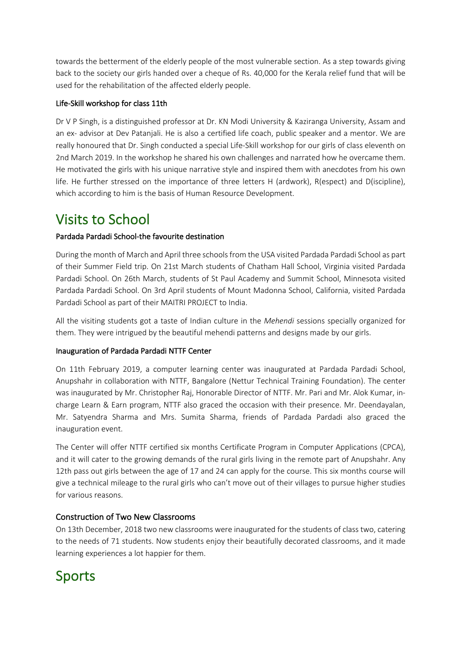towards the betterment of the elderly people of the most vulnerable section. As a step towards giving back to the society our girls handed over a cheque of Rs. 40,000 for the Kerala relief fund that will be used for the rehabilitation of the affected elderly people.

#### Life-Skill workshop for class 11th

Dr V P Singh, is a distinguished professor at Dr. KN Modi University & Kaziranga University, Assam and an ex- advisor at Dev Patanjali. He is also a certified life coach, public speaker and a mentor. We are really honoured that Dr. Singh conducted a special Life-Skill workshop for our girls of class eleventh on 2nd March 2019. In the workshop he shared his own challenges and narrated how he overcame them. He motivated the girls with his unique narrative style and inspired them with anecdotes from his own life. He further stressed on the importance of three letters H (ardwork), R(espect) and D(iscipline), which according to him is the basis of Human Resource Development.

# Visits to School<br>Pardada Pardadi School-the favourite destination

During the month of March and April three schools from the USA visited Pardada Pardadi School as part of their Summer Field trip. On 21st March students of Chatham Hall School, Virginia visited Pardada Pardadi School. On 26th March, students of St Paul Academy and Summit School, Minnesota visited Pardada Pardadi School. On 3rd April students of Mount Madonna School, California, visited Pardada Pardadi School as part of their MAITRI PROJECT to India.

All the visiting students got a taste of Indian culture in the *Mehendi* sessions specially organized for them. They were intrigued by the beautiful mehendi patterns and designs made by our girls.

#### Inauguration of Pardada Pardadi NTTF Center

On 11th February 2019, a computer learning center was inaugurated at Pardada Pardadi School, Anupshahr in collaboration with NTTF, Bangalore (Nettur Technical Training Foundation). The center was inaugurated by Mr. Christopher Raj, Honorable Director of NTTF. Mr. Pari and Mr. Alok Kumar, incharge Learn & Earn program, NTTF also graced the occasion with their presence. Mr. Deendayalan, Mr. Satyendra Sharma and Mrs. Sumita Sharma, friends of Pardada Pardadi also graced the inauguration event.

The Center will offer NTTF certified six months Certificate Program in Computer Applications (CPCA), and it will cater to the growing demands of the rural girls living in the remote part of Anupshahr. Any 12th pass out girls between the age of 17 and 24 can apply for the course. This six months course will give a technical mileage to the rural girls who can't move out of their villages to pursue higher studies for various reasons.

### Construction of Two New Classrooms

On 13th December, 2018 two new classrooms were inaugurated for the students of class two, catering to the needs of 71 students. Now students enjoy their beautifully decorated classrooms, and it made learning experiences a lot happier for them.

# Sports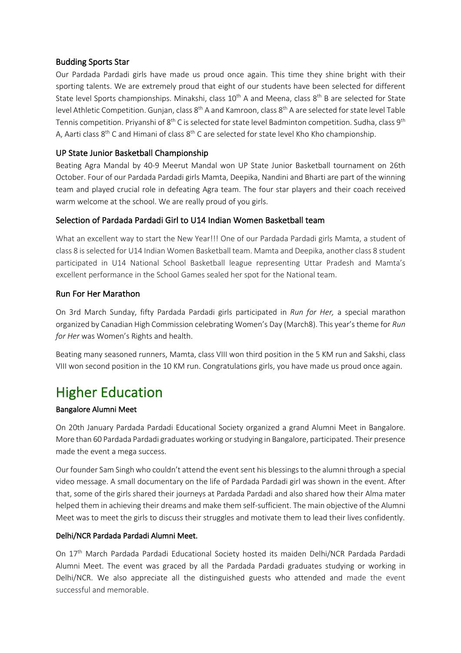#### Budding Sports Star

Our Pardada Pardadi girls have made us proud once again. This time they shine bright with their sporting talents. We are extremely proud that eight of our students have been selected for different State level Sports championships. Minakshi, class 10<sup>th</sup> A and Meena, class 8<sup>th</sup> B are selected for State level Athletic Competition. Gunjan, class 8<sup>th</sup> A and Kamroon, class 8<sup>th</sup> A are selected for state level Table Tennis competition. Priyanshi of 8<sup>th</sup> C is selected for state level Badminton competition. Sudha, class 9<sup>th</sup> A, Aarti class 8<sup>th</sup> C and Himani of class 8<sup>th</sup> C are selected for state level Kho Kho championship.

#### UP State Junior Basketball Championship

Beating Agra Mandal by 40-9 Meerut Mandal won UP State Junior Basketball tournament on 26th October. Four of our Pardada Pardadi girls Mamta, Deepika, Nandini and Bharti are part of the winning team and played crucial role in defeating Agra team. The four star players and their coach received warm welcome at the school. We are really proud of you girls.

#### Selection of Pardada Pardadi Girl to U14 Indian Women Basketball team

What an excellent way to start the New Year!!! One of our Pardada Pardadi girls Mamta, a student of class 8 is selected for U14 Indian Women Basketball team. Mamta and Deepika, another class 8 student participated in U14 National School Basketball league representing Uttar Pradesh and Mamta's excellent performance in the School Games sealed her spot for the National team.

#### Run For Her Marathon

On 3rd March Sunday, fifty Pardada Pardadi girls participated in *Run for Her,* a special marathon organized by Canadian High Commission celebrating Women's Day (March8). This year's theme for *Run for Her* was Women's Rights and health.

Beating many seasoned runners, Mamta, class VIII won third position in the 5 KM run and Sakshi, class VIII won second position in the 10 KM run. Congratulations girls, you have made us proud once again.

# Higher Education

#### Bangalore Alumni Meet

On 20th January Pardada Pardadi Educational Society organized a grand Alumni Meet in Bangalore. More than 60 Pardada Pardadi graduates working or studying in Bangalore, participated. Their presence made the event a mega success.

Our founder Sam Singh who couldn't attend the event sent his blessings to the alumni through a special video message. A small documentary on the life of Pardada Pardadi girl was shown in the event. After that, some of the girls shared their journeys at Pardada Pardadi and also shared how their Alma mater helped them in achieving their dreams and make them self-sufficient. The main objective of the Alumni Meet was to meet the girls to discuss their struggles and motivate them to lead their lives confidently.

#### Delhi/NCR Pardada Pardadi Alumni Meet.

On 17th March Pardada Pardadi Educational Society hosted its maiden Delhi/NCR Pardada Pardadi Alumni Meet. The event was graced by all the Pardada Pardadi graduates studying or working in Delhi/NCR. We also appreciate all the distinguished guests who attended and made the event successful and memorable.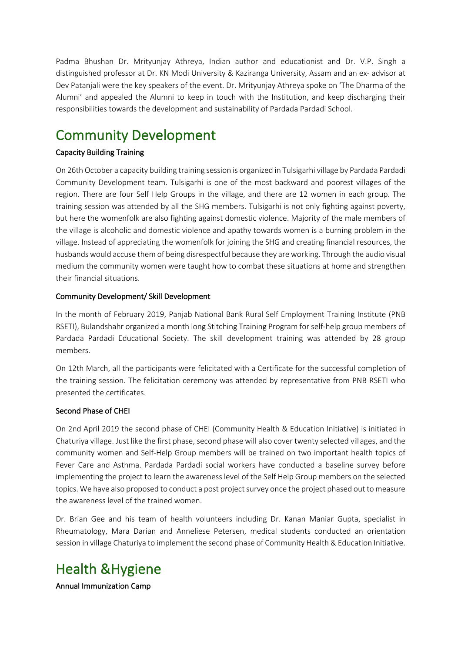Padma Bhushan Dr. Mrityunjay Athreya, Indian author and educationist and Dr. V.P. Singh a distinguished professor at Dr. KN Modi University & Kaziranga University, Assam and an ex- advisor at Dev Patanjali were the key speakers of the event. Dr. Mrityunjay Athreya spoke on 'The Dharma of the Alumni' and appealed the Alumni to keep in touch with the Institution, and keep discharging their responsibilities towards the development and sustainability of Pardada Pardadi School.

# Community Development<br>
Capacity Building Training

On 26th October a capacity building training session is organized in Tulsigarhi village by Pardada Pardadi Community Development team. Tulsigarhi is one of the most backward and poorest villages of the region. There are four Self Help Groups in the village, and there are 12 women in each group. The training session was attended by all the SHG members. Tulsigarhi is not only fighting against poverty, but here the womenfolk are also fighting against domestic violence. Majority of the male members of the village is alcoholic and domestic violence and apathy towards women is a burning problem in the village. Instead of appreciating the womenfolk for joining the SHG and creating financial resources, the husbands would accuse them of being disrespectful because they are working. Through the audio visual medium the community women were taught how to combat these situations at home and strengthen their financial situations.

#### Community Development/ Skill Development

In the month of February 2019, Panjab National Bank Rural Self Employment Training Institute (PNB RSETI), Bulandshahr organized a month long Stitching Training Program for self-help group members of Pardada Pardadi Educational Society. The skill development training was attended by 28 group members.

On 12th March, all the participants were felicitated with a Certificate for the successful completion of the training session. The felicitation ceremony was attended by representative from PNB RSETI who presented the certificates.

#### Second Phase of CHEI

On 2nd April 2019 the second phase of CHEI (Community Health & Education Initiative) is initiated in Chaturiya village. Just like the first phase, second phase will also cover twenty selected villages, and the community women and Self-Help Group members will be trained on two important health topics of Fever Care and Asthma. Pardada Pardadi social workers have conducted a baseline survey before implementing the project to learn the awareness level of the Self Help Group members on the selected topics. We have also proposed to conduct a post project survey once the project phased out to measure the awareness level of the trained women.

Dr. Brian Gee and his team of health volunteers including Dr. Kanan Maniar Gupta, specialist in Rheumatology, Mara Darian and Anneliese Petersen, medical students conducted an orientation session in village Chaturiya to implement the second phase of Community Health & Education Initiative.

# Health &Hygiene<br>Annual Immunization Camp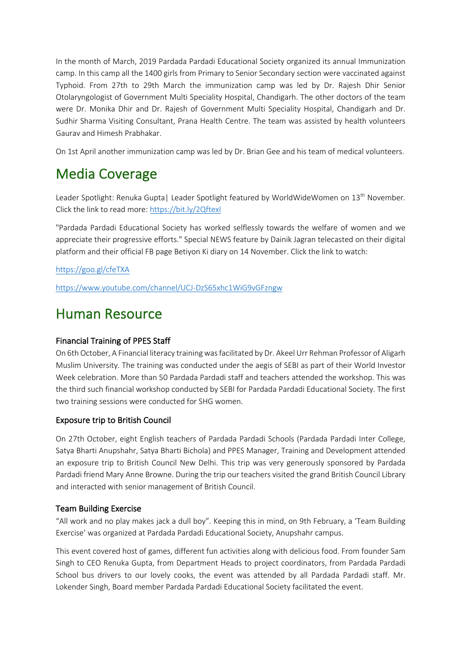In the month of March, 2019 Pardada Pardadi Educational Society organized its annual Immunization camp. In this camp all the 1400 girls from Primary to Senior Secondary section were vaccinated against Typhoid. From 27th to 29th March the immunization camp was led by Dr. Rajesh Dhir Senior Otolaryngologist of Government Multi Speciality Hospital, Chandigarh. The other doctors of the team were Dr. Monika Dhir and Dr. Rajesh of Government Multi Speciality Hospital, Chandigarh and Dr. Sudhir Sharma Visiting Consultant, Prana Health Centre. The team was assisted by health volunteers Gaurav and Himesh Prabhakar.

On 1st April another immunization camp was led by Dr. Brian Gee and his team of medical volunteers.

# Media Coverage

Leader Spotlight: Renuka Gupta | Leader Spotlight featured by WorldWideWomen on 13<sup>th</sup> November. Click the link to read more: https://bit.ly/2QftexI

"Pardada Pardadi Educational Society has worked selflessly towards the welfare of women and we appreciate their progressive efforts." Special NEWS feature by Dainik Jagran telecasted on their digital platform and their official FB page Betiyon Ki diary on 14 November. Click the link to watch:

https://goo.gl/cfeTXA

https://www.youtube.com/channel/UCJ-DzS65xhc1WiG9vGFzngw

### Human Resource

### Financial Training of PPES Staff

On 6th October, A Financial literacy training was facilitated by Dr. Akeel Urr Rehman Professor of Aligarh Muslim University. The training was conducted under the aegis of SEBI as part of their World Investor Week celebration. More than 50 Pardada Pardadi staff and teachers attended the workshop. This was the third such financial workshop conducted by SEBI for Pardada Pardadi Educational Society. The first two training sessions were conducted for SHG women.

### Exposure trip to British Council

On 27th October, eight English teachers of Pardada Pardadi Schools (Pardada Pardadi Inter College, Satya Bharti Anupshahr, Satya Bharti Bichola) and PPES Manager, Training and Development attended an exposure trip to British Council New Delhi. This trip was very generously sponsored by Pardada Pardadi friend Mary Anne Browne. During the trip our teachers visited the grand British Council Library and interacted with senior management of British Council.

### Team Building Exercise

"All work and no play makes jack a dull boy". Keeping this in mind, on 9th February, a 'Team Building Exercise' was organized at Pardada Pardadi Educational Society, Anupshahr campus.

This event covered host of games, different fun activities along with delicious food. From founder Sam Singh to CEO Renuka Gupta, from Department Heads to project coordinators, from Pardada Pardadi School bus drivers to our lovely cooks, the event was attended by all Pardada Pardadi staff. Mr. Lokender Singh, Board member Pardada Pardadi Educational Society facilitated the event.